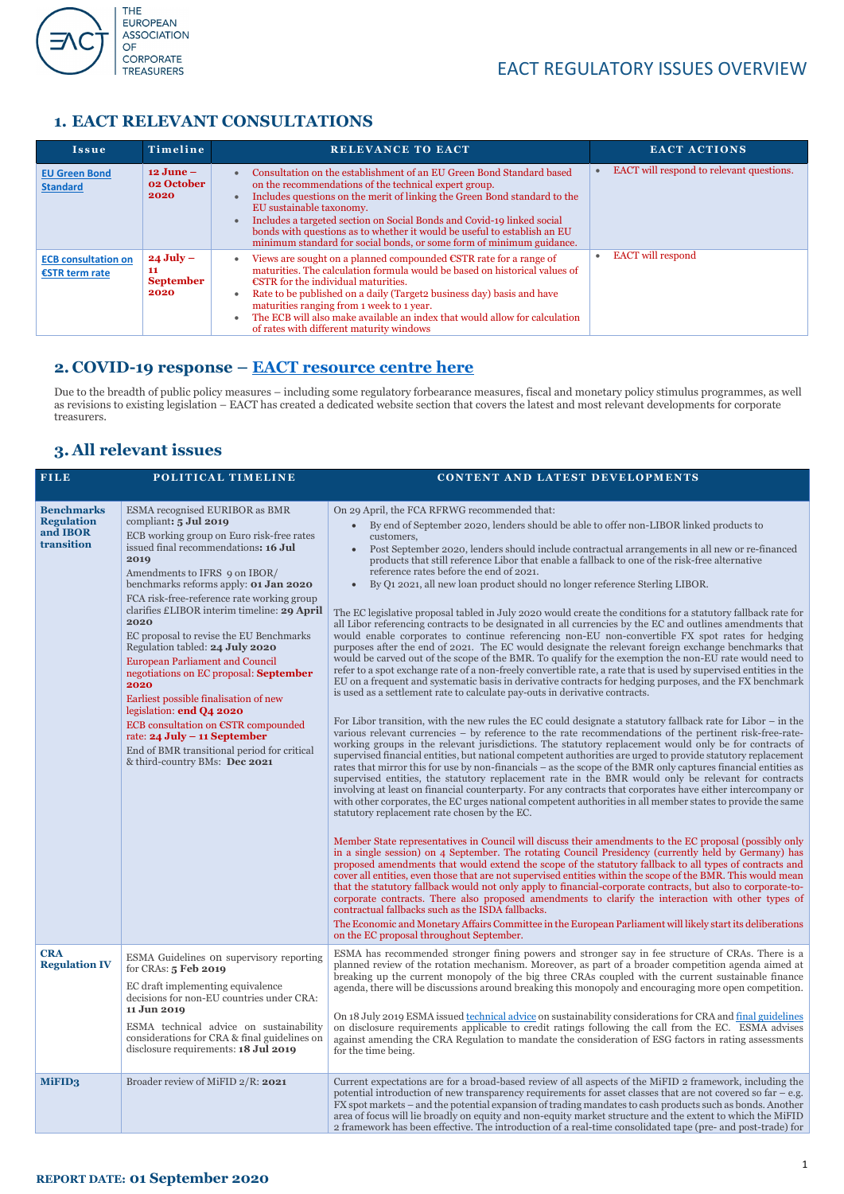

#### **REPORT DATE: 01 September 2020**

#### **1. EACT RELEVANT CONSULTATIONS**

#### **2. COVID-19 response – [EACT resource centre here](https://eact.eu/covid-19-resource-centre)**

Due to the breadth of public policy measures – including some regulatory forbearance measures, fiscal and monetary policy stimulus programmes, as well as revisions to existing legislation – EACT has created a dedicated website section that covers the latest and most relevant developments for corporate treasurers.

#### **3. All relevant issues**

| <b>FILE</b>                                                      | POLITICAL TIMELINE                                                                                                                                                                                                                                                                                                                                                                                                                                                                                                                                                                                                                                                                                                                                 | CONTENT AND LATEST DEVELOPMENTS                                                                                                                                                                                                                                                                                                                                                                                                                                                                                                                                                                                                                                                                                                                                                                                                                                                                                                                                                                                                                                                                                                                                                                                                                                                                                                                                                                                                                                                                                                                                                                                                                                                                                                                                                                                                                                                                                                                                                                                                                                                                                                                                                                                                                                                                                                                                                                                                                                                                                                                                                                                                                                                                                                                                                                                                                                                                               |
|------------------------------------------------------------------|----------------------------------------------------------------------------------------------------------------------------------------------------------------------------------------------------------------------------------------------------------------------------------------------------------------------------------------------------------------------------------------------------------------------------------------------------------------------------------------------------------------------------------------------------------------------------------------------------------------------------------------------------------------------------------------------------------------------------------------------------|---------------------------------------------------------------------------------------------------------------------------------------------------------------------------------------------------------------------------------------------------------------------------------------------------------------------------------------------------------------------------------------------------------------------------------------------------------------------------------------------------------------------------------------------------------------------------------------------------------------------------------------------------------------------------------------------------------------------------------------------------------------------------------------------------------------------------------------------------------------------------------------------------------------------------------------------------------------------------------------------------------------------------------------------------------------------------------------------------------------------------------------------------------------------------------------------------------------------------------------------------------------------------------------------------------------------------------------------------------------------------------------------------------------------------------------------------------------------------------------------------------------------------------------------------------------------------------------------------------------------------------------------------------------------------------------------------------------------------------------------------------------------------------------------------------------------------------------------------------------------------------------------------------------------------------------------------------------------------------------------------------------------------------------------------------------------------------------------------------------------------------------------------------------------------------------------------------------------------------------------------------------------------------------------------------------------------------------------------------------------------------------------------------------------------------------------------------------------------------------------------------------------------------------------------------------------------------------------------------------------------------------------------------------------------------------------------------------------------------------------------------------------------------------------------------------------------------------------------------------------------------------------------------------|
| <b>Benchmarks</b><br><b>Regulation</b><br>and IBOR<br>transition | <b>ESMA</b> recognised EURIBOR as BMR<br>compliant: 5 Jul 2019<br>ECB working group on Euro risk-free rates<br>issued final recommendations: 16 Jul<br>2019<br>Amendments to IFRS 9 on IBOR/<br>benchmarks reforms apply: 01 Jan 2020<br>FCA risk-free-reference rate working group<br>clarifies £LIBOR interim timeline: 29 April<br>2020<br>EC proposal to revise the EU Benchmarks<br>Regulation tabled: 24 July 2020<br><b>European Parliament and Council</b><br>negotiations on EC proposal: September<br>2020<br>Earliest possible finalisation of new<br>legislation: end Q4 2020<br>ECB consultation on €STR compounded<br>rate: $24$ July – 11 September<br>End of BMR transitional period for critical<br>& third-country BMs: Dec 2021 | On 29 April, the FCA RFRWG recommended that:<br>By end of September 2020, lenders should be able to offer non-LIBOR linked products to<br>customers,<br>Post September 2020, lenders should include contractual arrangements in all new or re-financed<br>$\bullet$<br>products that still reference Libor that enable a fallback to one of the risk-free alternative<br>reference rates before the end of 2021.<br>By Q1 2021, all new loan product should no longer reference Sterling LIBOR.<br>$\bullet$<br>The EC legislative proposal tabled in July 2020 would create the conditions for a statutory fallback rate for<br>all Libor referencing contracts to be designated in all currencies by the EC and outlines amendments that<br>would enable corporates to continue referencing non-EU non-convertible FX spot rates for hedging<br>purposes after the end of 2021. The EC would designate the relevant foreign exchange benchmarks that<br>would be carved out of the scope of the BMR. To qualify for the exemption the non-EU rate would need to<br>refer to a spot exchange rate of a non-freely convertible rate, a rate that is used by supervised entities in the<br>EU on a frequent and systematic basis in derivative contracts for hedging purposes, and the FX benchmark<br>is used as a settlement rate to calculate pay-outs in derivative contracts.<br>For Libor transition, with the new rules the EC could designate a statutory fallback rate for Libor $-$ in the<br>various relevant currencies - by reference to the rate recommendations of the pertinent risk-free-rate-<br>working groups in the relevant jurisdictions. The statutory replacement would only be for contracts of<br>supervised financial entities, but national competent authorities are urged to provide statutory replacement<br>rates that mirror this for use by non-financials – as the scope of the BMR only captures financial entities as<br>supervised entities, the statutory replacement rate in the BMR would only be relevant for contracts<br>involving at least on financial counterparty. For any contracts that corporates have either intercompany or<br>with other corporates, the EC urges national competent authorities in all member states to provide the same<br>statutory replacement rate chosen by the EC.<br>Member State representatives in Council will discuss their amendments to the EC proposal (possibly only<br>in a single session) on 4 September. The rotating Council Presidency (currently held by Germany) has<br>proposed amendments that would extend the scope of the statutory fallback to all types of contracts and<br>cover all entities, even those that are not supervised entities within the scope of the BMR. This would mean<br>that the statutory fallback would not only apply to financial-corporate contracts, but also to corporate-to- |

|                                    |                                                                                                                                                                                                                                                                                                             | corporate contracts. There also proposed amendments to clarify the interaction with other types of<br>contractual fallbacks such as the ISDA fallbacks.<br>The Economic and Monetary Affairs Committee in the European Parliament will likely start its deliberations<br>on the EC proposal throughout September.                                                                                                                                                                                                                                                                                                                                                                                                                                                                |
|------------------------------------|-------------------------------------------------------------------------------------------------------------------------------------------------------------------------------------------------------------------------------------------------------------------------------------------------------------|----------------------------------------------------------------------------------------------------------------------------------------------------------------------------------------------------------------------------------------------------------------------------------------------------------------------------------------------------------------------------------------------------------------------------------------------------------------------------------------------------------------------------------------------------------------------------------------------------------------------------------------------------------------------------------------------------------------------------------------------------------------------------------|
| <b>CRA</b><br><b>Regulation IV</b> | ESMA Guidelines on supervisory reporting<br>for CRAs: 5 Feb 2019<br>EC draft implementing equivalence<br>decisions for non-EU countries under CRA:<br>11 Jun 2019<br>ESMA technical advice on sustainability<br>considerations for CRA & final guidelines on<br>disclosure requirements: <b>18 Jul 2019</b> | ESMA has recommended stronger fining powers and stronger say in fee structure of CRAs. There is a<br>planned review of the rotation mechanism. Moreover, as part of a broader competition agenda aimed at<br>breaking up the current monopoly of the big three CRAs coupled with the current sustainable finance<br>agenda, there will be discussions around breaking this monopoly and encouraging more open competition.<br>On 18 July 2019 ESMA issued technical advice on sustainability considerations for CRA and final guidelines<br>on disclosure requirements applicable to credit ratings following the call from the EC. ESMA advises<br>against amending the CRA Regulation to mandate the consideration of ESG factors in rating assessments<br>for the time being. |
| MiFID3                             | Broader review of MiFID 2/R: 2021                                                                                                                                                                                                                                                                           | Current expectations are for a broad-based review of all aspects of the MiFID 2 framework, including the<br>potential introduction of new transparency requirements for asset classes that are not covered so far $-$ e.g.<br>FX spot markets – and the potential expansion of trading mandates to cash products such as bonds. Another<br>area of focus will lie broadly on equity and non-equity market structure and the extent to which the MiFID<br>2 framework has been effective. The introduction of a real-time consolidated tape (pre- and post-trade) for                                                                                                                                                                                                             |

| Issue                                          | Timeline                                        | <b>RELEVANCE TO EACT</b>                                                                                                                                                                                                                                                                                                                                                                                                                                                               | <b>EACT ACTIONS</b>                      |
|------------------------------------------------|-------------------------------------------------|----------------------------------------------------------------------------------------------------------------------------------------------------------------------------------------------------------------------------------------------------------------------------------------------------------------------------------------------------------------------------------------------------------------------------------------------------------------------------------------|------------------------------------------|
| <b>EU Green Bond</b><br><b>Standard</b>        | $12$ June $-$<br><b>02 October</b><br>2020      | Consultation on the establishment of an EU Green Bond Standard based<br>on the recommendations of the technical expert group.<br>Includes questions on the merit of linking the Green Bond standard to the<br>EU sustainable taxonomy.<br>Includes a targeted section on Social Bonds and Covid-19 linked social<br>bonds with questions as to whether it would be useful to establish an EU<br>minimum standard for social bonds, or some form of minimum guidance.                   | EACT will respond to relevant questions. |
| <b>ECB consultation on</b><br>$ESTR$ term rate | $24$ July $-$<br>11<br><b>September</b><br>2020 | Views are sought on a planned compounded €STR rate for a range of<br>$\bullet$<br>maturities. The calculation formula would be based on historical values of<br>$\epsilon$ STR for the individual maturities.<br>Rate to be published on a daily (Target <sub>2</sub> business day) basis and have<br>maturities ranging from 1 week to 1 year.<br>The ECB will also make available an index that would allow for calculation<br>$\bullet$<br>of rates with different maturity windows | <b>EACT</b> will respond                 |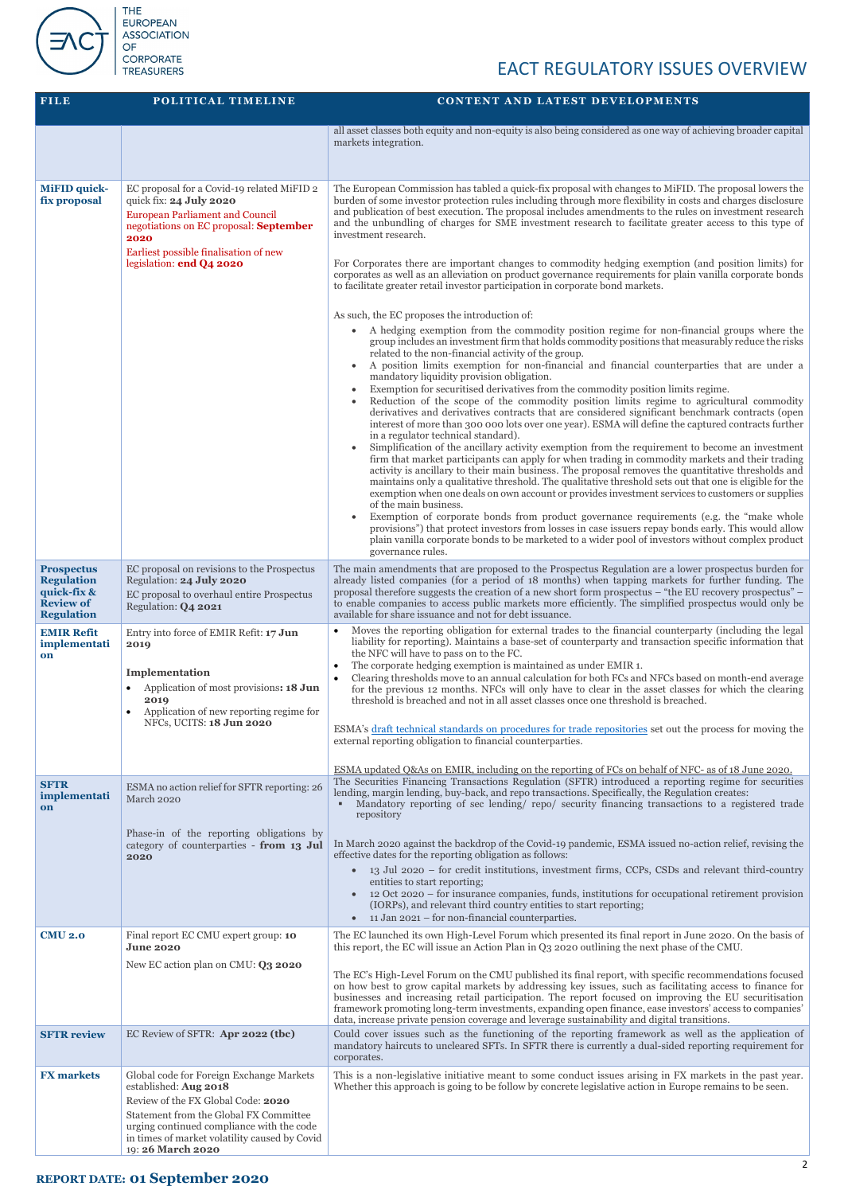

# **ASSOCIATION CORPORATE**<br>TREASURERS

# EACT REGULATORY ISSUES OVERVIEW

| <b>FILE</b>                                                                                    | POLITICAL TIMELINE                                                                                                                                                                                                                                                  | <b>CONTENT AND LATEST DEVELOPMENTS</b>                                                                                                                                                                                                                                                                                                                                                                                                                                                                                                                                                                                                                                                                                                                                                                                                                                                                                                                                                                                                                                                                                                                                                                                                                                                                                                                                                                                                                                                                                                                                                                                                                                                                                                                                                                                                                                                                                                                                                                                                                                                                                                                                                                                                                                                                                                                                                                                                                                                                                                         |
|------------------------------------------------------------------------------------------------|---------------------------------------------------------------------------------------------------------------------------------------------------------------------------------------------------------------------------------------------------------------------|------------------------------------------------------------------------------------------------------------------------------------------------------------------------------------------------------------------------------------------------------------------------------------------------------------------------------------------------------------------------------------------------------------------------------------------------------------------------------------------------------------------------------------------------------------------------------------------------------------------------------------------------------------------------------------------------------------------------------------------------------------------------------------------------------------------------------------------------------------------------------------------------------------------------------------------------------------------------------------------------------------------------------------------------------------------------------------------------------------------------------------------------------------------------------------------------------------------------------------------------------------------------------------------------------------------------------------------------------------------------------------------------------------------------------------------------------------------------------------------------------------------------------------------------------------------------------------------------------------------------------------------------------------------------------------------------------------------------------------------------------------------------------------------------------------------------------------------------------------------------------------------------------------------------------------------------------------------------------------------------------------------------------------------------------------------------------------------------------------------------------------------------------------------------------------------------------------------------------------------------------------------------------------------------------------------------------------------------------------------------------------------------------------------------------------------------------------------------------------------------------------------------------------------------|
|                                                                                                |                                                                                                                                                                                                                                                                     | all asset classes both equity and non-equity is also being considered as one way of achieving broader capital<br>markets integration.                                                                                                                                                                                                                                                                                                                                                                                                                                                                                                                                                                                                                                                                                                                                                                                                                                                                                                                                                                                                                                                                                                                                                                                                                                                                                                                                                                                                                                                                                                                                                                                                                                                                                                                                                                                                                                                                                                                                                                                                                                                                                                                                                                                                                                                                                                                                                                                                          |
| <b>MiFID</b> quick-<br>fix proposal                                                            | EC proposal for a Covid-19 related MiFID 2<br>quick fix: 24 July 2020<br><b>European Parliament and Council</b><br>negotiations on EC proposal: September<br>2020<br>Earliest possible finalisation of new<br>legislation: end Q4 2020                              | The European Commission has tabled a quick-fix proposal with changes to MiFID. The proposal lowers the<br>burden of some investor protection rules including through more flexibility in costs and charges disclosure<br>and publication of best execution. The proposal includes amendments to the rules on investment research<br>and the unbundling of charges for SME investment research to facilitate greater access to this type of<br>investment research.<br>For Corporates there are important changes to commodity hedging exemption (and position limits) for<br>corporates as well as an alleviation on product governance requirements for plain vanilla corporate bonds<br>to facilitate greater retail investor participation in corporate bond markets.<br>As such, the EC proposes the introduction of:<br>A hedging exemption from the commodity position regime for non-financial groups where the<br>group includes an investment firm that holds commodity positions that measurably reduce the risks<br>related to the non-financial activity of the group.<br>A position limits exemption for non-financial and financial counterparties that are under a<br>mandatory liquidity provision obligation.<br>Exemption for securitised derivatives from the commodity position limits regime.<br>Reduction of the scope of the commodity position limits regime to agricultural commodity<br>derivatives and derivatives contracts that are considered significant benchmark contracts (open<br>interest of more than 300 000 lots over one year). ESMA will define the captured contracts further<br>in a regulator technical standard).<br>Simplification of the ancillary activity exemption from the requirement to become an investment<br>firm that market participants can apply for when trading in commodity markets and their trading<br>activity is ancillary to their main business. The proposal removes the quantitative thresholds and<br>maintains only a qualitative threshold. The qualitative threshold sets out that one is eligible for the<br>exemption when one deals on own account or provides investment services to customers or supplies<br>of the main business.<br>Exemption of corporate bonds from product governance requirements (e.g. the "make whole<br>provisions") that protect investors from losses in case issuers repay bonds early. This would allow<br>plain vanilla corporate bonds to be marketed to a wider pool of investors without complex product<br>governance rules. |
| <b>Prospectus</b><br><b>Regulation</b><br>quick-fix &<br><b>Review of</b><br><b>Regulation</b> | EC proposal on revisions to the Prospectus<br>Regulation: 24 July 2020<br>EC proposal to overhaul entire Prospectus<br>Regulation: Q4 2021                                                                                                                          | The main amendments that are proposed to the Prospectus Regulation are a lower prospectus burden for<br>already listed companies (for a period of 18 months) when tapping markets for further funding. The<br>proposal therefore suggests the creation of a new short form prospectus – "the EU recovery prospectus" –<br>to enable companies to access public markets more efficiently. The simplified prospectus would only be<br>available for share issuance and not for debt issuance.                                                                                                                                                                                                                                                                                                                                                                                                                                                                                                                                                                                                                                                                                                                                                                                                                                                                                                                                                                                                                                                                                                                                                                                                                                                                                                                                                                                                                                                                                                                                                                                                                                                                                                                                                                                                                                                                                                                                                                                                                                                    |
| <b>EMIR Refit</b><br>implementati<br>on                                                        | Entry into force of EMIR Refit: 17 Jun<br>2019<br>Implementation<br>Application of most provisions: 18 Jun<br>2019<br>Application of new reporting regime for<br>NFCs, UCITS: 18 Jun 2020                                                                           | Moves the reporting obligation for external trades to the financial counterparty (including the legal<br>liability for reporting). Maintains a base-set of counterparty and transaction specific information that<br>the NFC will have to pass on to the FC.<br>The corporate hedging exemption is maintained as under EMIR 1.<br>Clearing thresholds move to an annual calculation for both FCs and NFCs based on month-end average<br>for the previous 12 months. NFCs will only have to clear in the asset classes for which the clearing<br>threshold is breached and not in all asset classes once one threshold is breached.<br>ESMA's draft technical standards on procedures for trade repositories set out the process for moving the<br>external reporting obligation to financial counterparties.<br>ESMA updated Q&As on EMIR, including on the reporting of FCs on behalf of NFC- as of 18 June 2020.                                                                                                                                                                                                                                                                                                                                                                                                                                                                                                                                                                                                                                                                                                                                                                                                                                                                                                                                                                                                                                                                                                                                                                                                                                                                                                                                                                                                                                                                                                                                                                                                                             |
| <b>SFTR</b><br>implementati<br>on                                                              | ESMA no action relief for SFTR reporting: 26<br>March 2020<br>Phase-in of the reporting obligations by<br>category of counterparties - from 13 Jul<br>2020                                                                                                          | The Securities Financing Transactions Regulation (SFTR) introduced a reporting regime for securities<br>lending, margin lending, buy-back, and repo transactions. Specifically, the Regulation creates:<br>Mandatory reporting of sec lending/ repo/ security financing transactions to a registered trade<br>repository<br>In March 2020 against the backdrop of the Covid-19 pandemic, ESMA issued no-action relief, revising the<br>effective dates for the reporting obligation as follows:<br>13 Jul 2020 – for credit institutions, investment firms, CCPs, CSDs and relevant third-country<br>$\bullet$<br>entities to start reporting;<br>12 Oct 2020 – for insurance companies, funds, institutions for occupational retirement provision<br>(IORPs), and relevant third country entities to start reporting;<br>11 Jan 2021 – for non-financial counterparties.<br>$\bullet$                                                                                                                                                                                                                                                                                                                                                                                                                                                                                                                                                                                                                                                                                                                                                                                                                                                                                                                                                                                                                                                                                                                                                                                                                                                                                                                                                                                                                                                                                                                                                                                                                                                         |
| <b>CMU 2.0</b>                                                                                 | Final report EC CMU expert group: 10<br><b>June 2020</b><br>New EC action plan on CMU: Q3 2020                                                                                                                                                                      | The EC launched its own High-Level Forum which presented its final report in June 2020. On the basis of<br>this report, the EC will issue an Action Plan in Q3 2020 outlining the next phase of the CMU.<br>The EC's High-Level Forum on the CMU published its final report, with specific recommendations focused<br>on how best to grow capital markets by addressing key issues, such as facilitating access to finance for<br>businesses and increasing retail participation. The report focused on improving the EU securitisation<br>framework promoting long-term investments, expanding open finance, ease investors' access to companies'<br>data, increase private pension coverage and leverage sustainability and digital transitions.                                                                                                                                                                                                                                                                                                                                                                                                                                                                                                                                                                                                                                                                                                                                                                                                                                                                                                                                                                                                                                                                                                                                                                                                                                                                                                                                                                                                                                                                                                                                                                                                                                                                                                                                                                                             |
| <b>SFTR review</b>                                                                             | EC Review of SFTR: Apr 2022 (tbc)                                                                                                                                                                                                                                   | Could cover issues such as the functioning of the reporting framework as well as the application of<br>mandatory haircuts to uncleared SFTs. In SFTR there is currently a dual-sided reporting requirement for<br>corporates.                                                                                                                                                                                                                                                                                                                                                                                                                                                                                                                                                                                                                                                                                                                                                                                                                                                                                                                                                                                                                                                                                                                                                                                                                                                                                                                                                                                                                                                                                                                                                                                                                                                                                                                                                                                                                                                                                                                                                                                                                                                                                                                                                                                                                                                                                                                  |
| <b>FX</b> markets                                                                              | Global code for Foreign Exchange Markets<br>established: Aug 2018<br>Review of the FX Global Code: 2020<br>Statement from the Global FX Committee<br>urging continued compliance with the code<br>in times of market volatility caused by Covid<br>19:26 March 2020 | This is a non-legislative initiative meant to some conduct issues arising in FX markets in the past year.<br>Whether this approach is going to be follow by concrete legislative action in Europe remains to be seen.                                                                                                                                                                                                                                                                                                                                                                                                                                                                                                                                                                                                                                                                                                                                                                                                                                                                                                                                                                                                                                                                                                                                                                                                                                                                                                                                                                                                                                                                                                                                                                                                                                                                                                                                                                                                                                                                                                                                                                                                                                                                                                                                                                                                                                                                                                                          |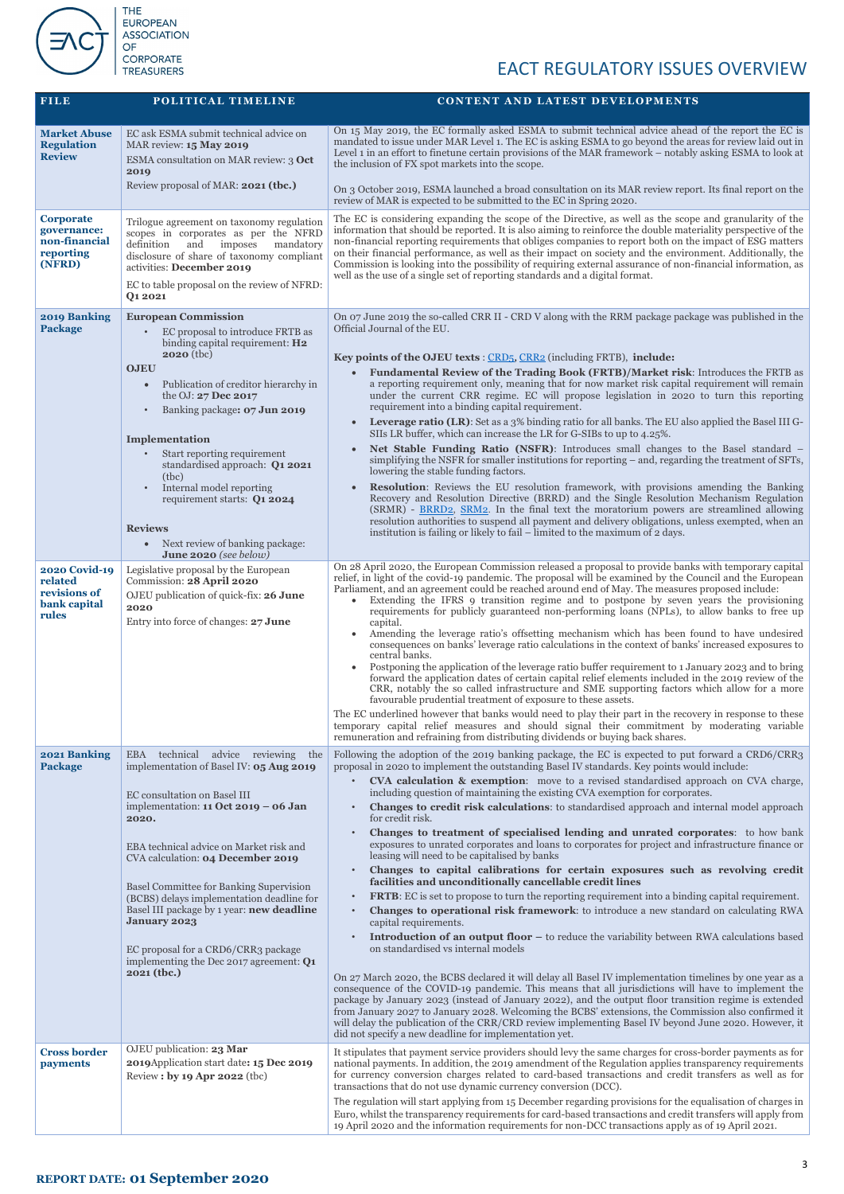

| <b>FILE</b>                                                             | POLITICAL TIMELINE                                                                                                                                                                                                                                                                                                                                                                                                                                         | <b>CONTENT AND LATEST DEVELOPMENTS</b>                                                                                                                                                                                                                                                                                                                                                                                                                                                                                                                                                                                                                                                                                                                                                                                                                                                                                                                                                                                                                                                                                                                                                                                                                                                                                                                                                                                                                                               |
|-------------------------------------------------------------------------|------------------------------------------------------------------------------------------------------------------------------------------------------------------------------------------------------------------------------------------------------------------------------------------------------------------------------------------------------------------------------------------------------------------------------------------------------------|--------------------------------------------------------------------------------------------------------------------------------------------------------------------------------------------------------------------------------------------------------------------------------------------------------------------------------------------------------------------------------------------------------------------------------------------------------------------------------------------------------------------------------------------------------------------------------------------------------------------------------------------------------------------------------------------------------------------------------------------------------------------------------------------------------------------------------------------------------------------------------------------------------------------------------------------------------------------------------------------------------------------------------------------------------------------------------------------------------------------------------------------------------------------------------------------------------------------------------------------------------------------------------------------------------------------------------------------------------------------------------------------------------------------------------------------------------------------------------------|
| <b>Market Abuse</b><br><b>Regulation</b><br><b>Review</b>               | EC ask ESMA submit technical advice on<br>MAR review: 15 May 2019<br>ESMA consultation on MAR review: 3 Oct<br>2019<br>Review proposal of MAR: 2021 (tbc.)                                                                                                                                                                                                                                                                                                 | On 15 May 2019, the EC formally asked ESMA to submit technical advice ahead of the report the EC is<br>mandated to issue under MAR Level 1. The EC is asking ESMA to go beyond the areas for review laid out in<br>Level 1 in an effort to finetune certain provisions of the MAR framework - notably asking ESMA to look at<br>the inclusion of FX spot markets into the scope.<br>On 3 October 2019, ESMA launched a broad consultation on its MAR review report. Its final report on the                                                                                                                                                                                                                                                                                                                                                                                                                                                                                                                                                                                                                                                                                                                                                                                                                                                                                                                                                                                          |
|                                                                         |                                                                                                                                                                                                                                                                                                                                                                                                                                                            | review of MAR is expected to be submitted to the EC in Spring 2020.                                                                                                                                                                                                                                                                                                                                                                                                                                                                                                                                                                                                                                                                                                                                                                                                                                                                                                                                                                                                                                                                                                                                                                                                                                                                                                                                                                                                                  |
| <b>Corporate</b><br>governance:<br>non-financial<br>reporting<br>(NFRD) | Trilogue agreement on taxonomy regulation<br>scopes in corporates as per the NFRD<br>definition<br>and imposes<br>mandatory<br>disclosure of share of taxonomy compliant<br>activities: December 2019<br>EC to table proposal on the review of NFRD:<br>Q1 2021                                                                                                                                                                                            | The EC is considering expanding the scope of the Directive, as well as the scope and granularity of the<br>information that should be reported. It is also aiming to reinforce the double materiality perspective of the<br>non-financial reporting requirements that obliges companies to report both on the impact of ESG matters<br>on their financial performance, as well as their impact on society and the environment. Additionally, the<br>Commission is looking into the possibility of requiring external assurance of non-financial information, as<br>well as the use of a single set of reporting standards and a digital format.                                                                                                                                                                                                                                                                                                                                                                                                                                                                                                                                                                                                                                                                                                                                                                                                                                      |
| 2019 Banking<br><b>Package</b>                                          | <b>European Commission</b><br>EC proposal to introduce FRTB as<br>binding capital requirement: H2<br>$2020$ (tbc)<br><b>OJEU</b><br>Publication of creditor hierarchy in<br>$\bullet$<br>the OJ: 27 Dec 2017<br>Banking package: 07 Jun 2019<br>Implementation<br>Start reporting requirement<br>standardised approach: Q1 2021<br>(tbc)<br>Internal model reporting<br>requirement starts: Q1 2024<br><b>Reviews</b><br>• Next review of banking package: | On 07 June 2019 the so-called CRR II - CRD V along with the RRM package package was published in the<br>Official Journal of the EU.<br>Key points of the OJEU texts : CRD <sub>5</sub> , CRR2 (including FRTB), include:<br><b>Fundamental Review of the Trading Book (FRTB)/Market risk:</b> Introduces the FRTB as<br>a reporting requirement only, meaning that for now market risk capital requirement will remain<br>under the current CRR regime. EC will propose legislation in 2020 to turn this reporting<br>requirement into a binding capital requirement.<br><b>Leverage ratio (LR):</b> Set as a 3% binding ratio for all banks. The EU also applied the Basel III G-<br>$\bullet$<br>SIIs LR buffer, which can increase the LR for G-SIBs to up to 4.25%.<br>Net Stable Funding Ratio (NSFR): Introduces small changes to the Basel standard -<br>simplifying the NSFR for smaller institutions for reporting – and, regarding the treatment of SFTs,<br>lowering the stable funding factors.<br><b>Resolution:</b> Reviews the EU resolution framework, with provisions amending the Banking<br>Recovery and Resolution Directive (BRRD) and the Single Resolution Mechanism Regulation<br>(SRMR) - BRRD2, SRM2. In the final text the moratorium powers are streamlined allowing<br>resolution authorities to suspend all payment and delivery obligations, unless exempted, when an<br>institution is failing or likely to fail – limited to the maximum of 2 days. |
| <b>2020 Covid-19</b>                                                    | June 2020 (see below)<br>Legislative proposal by the European                                                                                                                                                                                                                                                                                                                                                                                              | On 28 April 2020, the European Commission released a proposal to provide banks with temporary capital                                                                                                                                                                                                                                                                                                                                                                                                                                                                                                                                                                                                                                                                                                                                                                                                                                                                                                                                                                                                                                                                                                                                                                                                                                                                                                                                                                                |
| related<br>revisions of<br>bank capital<br>rules                        | Commission: 28 April 2020<br>OJEU publication of quick-fix: 26 June<br>2020<br>Entry into force of changes: 27 June                                                                                                                                                                                                                                                                                                                                        | relief, in light of the covid-19 pandemic. The proposal will be examined by the Council and the European<br>Parliament, and an agreement could be reached around end of May. The measures proposed include:<br>Extending the IFRS 9 transition regime and to postpone by seven years the provisioning<br>requirements for publicly guaranteed non-performing loans (NPLs), to allow banks to free up<br>capital.<br>Amending the leverage ratio's offsetting mechanism which has been found to have undesired<br>consequences on banks' leverage ratio calculations in the context of banks' increased exposures to<br>central banks.<br>Postponing the application of the leverage ratio buffer requirement to 1 January 2023 and to bring<br>forward the application dates of certain capital relief elements included in the 2019 review of the<br>CRR, notably the so called infrastructure and SME supporting factors which allow for a more<br>favourable prudential treatment of exposure to these assets.<br>The EC underlined however that banks would need to play their part in the recovery in response to these<br>temporary capital relief measures and should signal their commitment by moderating variable<br>remuneration and refraining from distributing dividends or buying back shares.                                                                                                                                                                        |
| 2021 Banking<br><b>Package</b>                                          | technical<br>advice reviewing<br><b>EBA</b><br>the<br>implementation of Basel IV: 05 Aug 2019                                                                                                                                                                                                                                                                                                                                                              | Following the adoption of the 2019 banking package, the EC is expected to put forward a CRD6/CRR3<br>proposal in 2020 to implement the outstanding Basel IV standards. Key points would include:<br><b>CVA calculation &amp; exemption:</b> move to a revised standardised approach on CVA charge,                                                                                                                                                                                                                                                                                                                                                                                                                                                                                                                                                                                                                                                                                                                                                                                                                                                                                                                                                                                                                                                                                                                                                                                   |
|                                                                         | EC consultation on Basel III<br>implementation: 11 Oct 2019 - 06 Jan<br>2020.<br>EBA technical advice on Market risk and                                                                                                                                                                                                                                                                                                                                   | including question of maintaining the existing CVA exemption for corporates.<br><b>Changes to credit risk calculations:</b> to standardised approach and internal model approach<br>for credit risk.<br>Changes to treatment of specialised lending and unrated corporates: to how bank<br>exposures to unrated corporates and loans to corporates for project and infrastructure finance or                                                                                                                                                                                                                                                                                                                                                                                                                                                                                                                                                                                                                                                                                                                                                                                                                                                                                                                                                                                                                                                                                         |
|                                                                         | CVA calculation: 04 December 2019                                                                                                                                                                                                                                                                                                                                                                                                                          | leasing will need to be capitalised by banks<br>Changes to capital calibrations for certain exposures such as revolving credit                                                                                                                                                                                                                                                                                                                                                                                                                                                                                                                                                                                                                                                                                                                                                                                                                                                                                                                                                                                                                                                                                                                                                                                                                                                                                                                                                       |
|                                                                         | <b>Basel Committee for Banking Supervision</b><br>(BCBS) delays implementation deadline for<br>Basel III package by 1 year: new deadline<br><b>January 2023</b><br>EC proposal for a CRD6/CRR3 package<br>implementing the Dec 2017 agreement: Q1<br>2021 (tbc.)                                                                                                                                                                                           | facilities and unconditionally cancellable credit lines<br><b>FRTB:</b> EC is set to propose to turn the reporting requirement into a binding capital requirement.<br>$\bullet$<br><b>Changes to operational risk framework:</b> to introduce a new standard on calculating RWA<br>$\bullet$<br>capital requirements.<br><b>Introduction of an output floor –</b> to reduce the variability between RWA calculations based<br>on standardised vs internal models<br>On 27 March 2020, the BCBS declared it will delay all Basel IV implementation timelines by one year as a<br>consequence of the COVID-19 pandemic. This means that all jurisdictions will have to implement the                                                                                                                                                                                                                                                                                                                                                                                                                                                                                                                                                                                                                                                                                                                                                                                                   |
|                                                                         |                                                                                                                                                                                                                                                                                                                                                                                                                                                            | package by January 2023 (instead of January 2022), and the output floor transition regime is extended<br>from January 2027 to January 2028. Welcoming the BCBS' extensions, the Commission also confirmed it<br>will delay the publication of the CRR/CRD review implementing Basel IV beyond June 2020. However, it<br>did not specify a new deadline for implementation yet.                                                                                                                                                                                                                                                                                                                                                                                                                                                                                                                                                                                                                                                                                                                                                                                                                                                                                                                                                                                                                                                                                                       |
| <b>Cross border</b><br>payments                                         | OJEU publication: 23 Mar<br>2019 Application start date: 15 Dec 2019<br>Review: by 19 Apr 2022 (tbc)                                                                                                                                                                                                                                                                                                                                                       | It stipulates that payment service providers should levy the same charges for cross-border payments as for<br>national payments. In addition, the 2019 amendment of the Regulation applies transparency requirements<br>for currency conversion charges related to card-based transactions and credit transfers as well as for<br>transactions that do not use dynamic currency conversion (DCC).                                                                                                                                                                                                                                                                                                                                                                                                                                                                                                                                                                                                                                                                                                                                                                                                                                                                                                                                                                                                                                                                                    |
|                                                                         |                                                                                                                                                                                                                                                                                                                                                                                                                                                            | The regulation will start applying from 15 December regarding provisions for the equalisation of charges in<br>Euro, whilst the transparency requirements for card-based transactions and credit transfers will apply from<br>19 April 2020 and the information requirements for non-DCC transactions apply as of 19 April 2021.                                                                                                                                                                                                                                                                                                                                                                                                                                                                                                                                                                                                                                                                                                                                                                                                                                                                                                                                                                                                                                                                                                                                                     |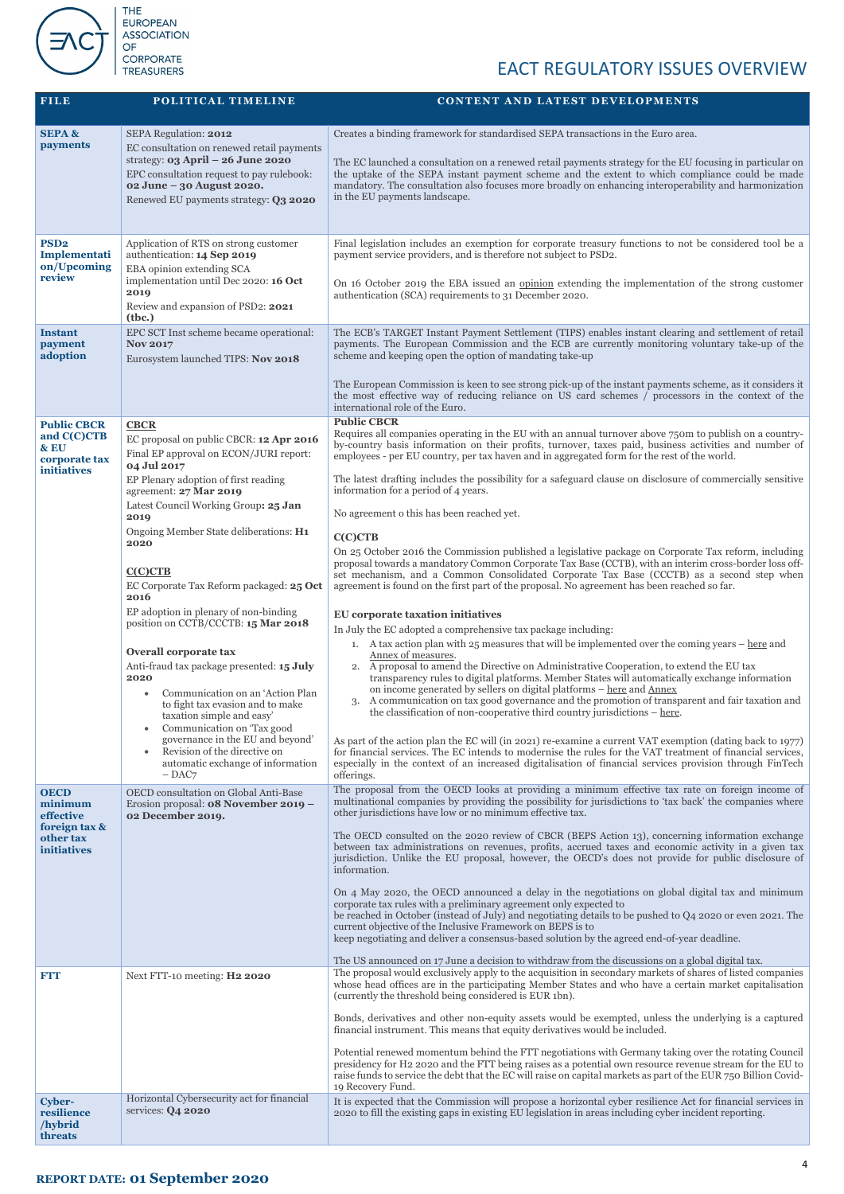

| <b>FILE</b>                                                                             | POLITICAL TIMELINE                                                                                                                                                                                                                                                                                                                                                                                                                                                                                                                                                                                                                                                                                                                                                               | <b>CONTENT AND LATEST DEVELOPMENTS</b>                                                                                                                                                                                                                                                                                                                                                                                                                                                                                                                                                                                                                                                                                                                                                                                                                                                                                                                                                                                                                                                                                                                                                                                                                                                                                                                                                                                                                                                                                                                                                                                                                                                                                                                                                                                                                                                                                                                                                                                                         |
|-----------------------------------------------------------------------------------------|----------------------------------------------------------------------------------------------------------------------------------------------------------------------------------------------------------------------------------------------------------------------------------------------------------------------------------------------------------------------------------------------------------------------------------------------------------------------------------------------------------------------------------------------------------------------------------------------------------------------------------------------------------------------------------------------------------------------------------------------------------------------------------|------------------------------------------------------------------------------------------------------------------------------------------------------------------------------------------------------------------------------------------------------------------------------------------------------------------------------------------------------------------------------------------------------------------------------------------------------------------------------------------------------------------------------------------------------------------------------------------------------------------------------------------------------------------------------------------------------------------------------------------------------------------------------------------------------------------------------------------------------------------------------------------------------------------------------------------------------------------------------------------------------------------------------------------------------------------------------------------------------------------------------------------------------------------------------------------------------------------------------------------------------------------------------------------------------------------------------------------------------------------------------------------------------------------------------------------------------------------------------------------------------------------------------------------------------------------------------------------------------------------------------------------------------------------------------------------------------------------------------------------------------------------------------------------------------------------------------------------------------------------------------------------------------------------------------------------------------------------------------------------------------------------------------------------------|
| <b>SEPA &amp;</b><br>payments                                                           | SEPA Regulation: 2012<br>EC consultation on renewed retail payments<br>strategy: $03$ April – $26$ June 2020<br>EPC consultation request to pay rulebook:<br>02 June - 30 August 2020.<br>Renewed EU payments strategy: Q3 2020                                                                                                                                                                                                                                                                                                                                                                                                                                                                                                                                                  | Creates a binding framework for standardised SEPA transactions in the Euro area.<br>The EC launched a consultation on a renewed retail payments strategy for the EU focusing in particular on<br>the uptake of the SEPA instant payment scheme and the extent to which compliance could be made<br>mandatory. The consultation also focuses more broadly on enhancing interoperability and harmonization<br>in the EU payments landscape.                                                                                                                                                                                                                                                                                                                                                                                                                                                                                                                                                                                                                                                                                                                                                                                                                                                                                                                                                                                                                                                                                                                                                                                                                                                                                                                                                                                                                                                                                                                                                                                                      |
| PSD <sub>2</sub><br>Implementati<br>on/Upcoming<br>review<br><b>Instant</b>             | Application of RTS on strong customer<br>authentication: 14 Sep 2019<br>EBA opinion extending SCA<br>implementation until Dec 2020: 16 Oct<br>2019<br>Review and expansion of PSD2: 2021<br>( <b>the</b> .)<br>EPC SCT Inst scheme became operational:                                                                                                                                                                                                                                                                                                                                                                                                                                                                                                                           | Final legislation includes an exemption for corporate treasury functions to not be considered tool be a<br>payment service providers, and is therefore not subject to PSD2.<br>On 16 October 2019 the EBA issued an <u>opinion</u> extending the implementation of the strong customer<br>authentication (SCA) requirements to 31 December 2020.<br>The ECB's TARGET Instant Payment Settlement (TIPS) enables instant clearing and settlement of retail                                                                                                                                                                                                                                                                                                                                                                                                                                                                                                                                                                                                                                                                                                                                                                                                                                                                                                                                                                                                                                                                                                                                                                                                                                                                                                                                                                                                                                                                                                                                                                                       |
| payment<br>adoption                                                                     | <b>Nov 2017</b><br>Eurosystem launched TIPS: Nov 2018                                                                                                                                                                                                                                                                                                                                                                                                                                                                                                                                                                                                                                                                                                                            | payments. The European Commission and the ECB are currently monitoring voluntary take-up of the<br>scheme and keeping open the option of mandating take-up<br>The European Commission is keen to see strong pick-up of the instant payments scheme, as it considers it<br>the most effective way of reducing reliance on US card schemes / processors in the context of the<br>international role of the Euro.                                                                                                                                                                                                                                                                                                                                                                                                                                                                                                                                                                                                                                                                                                                                                                                                                                                                                                                                                                                                                                                                                                                                                                                                                                                                                                                                                                                                                                                                                                                                                                                                                                 |
| <b>Public CBCR</b><br>and C(C)CTB<br>& EU<br>corporate tax<br><b>initiatives</b>        | <b>CBCR</b><br>EC proposal on public CBCR: 12 Apr 2016<br>Final EP approval on ECON/JURI report:<br>04 Jul 2017<br>EP Plenary adoption of first reading<br>agreement: 27 Mar 2019<br>Latest Council Working Group: 25 Jan<br>2019<br>Ongoing Member State deliberations: H1<br>2020<br>C(C)CTB<br>EC Corporate Tax Reform packaged: 25 Oct<br>2016<br>EP adoption in plenary of non-binding<br>position on CCTB/CCCTB: 15 Mar 2018<br>Overall corporate tax<br>Anti-fraud tax package presented: 15 July<br>2020<br>Communication on an 'Action Plan<br>to fight tax evasion and to make<br>taxation simple and easy'<br>Communication on 'Tax good<br>۰<br>governance in the EU and beyond'<br>Revision of the directive on<br>automatic exchange of information<br>$-$ DAC $7$ | <b>Public CBCR</b><br>Requires all companies operating in the EU with an annual turnover above 750m to publish on a country-<br>by-country basis information on their profits, turnover, taxes paid, business activities and number of<br>employees - per EU country, per tax haven and in aggregated form for the rest of the world.<br>The latest drafting includes the possibility for a safeguard clause on disclosure of commercially sensitive<br>information for a period of 4 years.<br>No agreement o this has been reached yet.<br><b>C(C)CTB</b><br>On 25 October 2016 the Commission published a legislative package on Corporate Tax reform, including<br>proposal towards a mandatory Common Corporate Tax Base (CCTB), with an interim cross-border loss off-<br>set mechanism, and a Common Consolidated Corporate Tax Base (CCCTB) as a second step when<br>agreement is found on the first part of the proposal. No agreement has been reached so far.<br>EU corporate taxation initiatives<br>In July the EC adopted a comprehensive tax package including:<br>1. A tax action plan with $25$ measures that will be implemented over the coming years $-\text{here}$ and<br>Annex of measures.<br>2. A proposal to amend the Directive on Administrative Cooperation, to extend the EU tax<br>transparency rules to digital platforms. Member States will automatically exchange information<br>on income generated by sellers on digital platforms – here and Annex<br>A communication on tax good governance and the promotion of transparent and fair taxation and<br>3.<br>the classification of non-cooperative third country jurisdictions $-\underline{here}$ .<br>As part of the action plan the EC will (in 2021) re-examine a current VAT exemption (dating back to 1977)<br>for financial services. The EC intends to modernise the rules for the VAT treatment of financial services,<br>especially in the context of an increased digitalisation of financial services provision through FinTech<br>offerings. |
| <b>OECD</b><br>minimum<br>effective<br>foreign tax &<br>other tax<br><b>initiatives</b> | OECD consultation on Global Anti-Base<br>Erosion proposal: <b>08 November 2019 -</b><br>02 December 2019.                                                                                                                                                                                                                                                                                                                                                                                                                                                                                                                                                                                                                                                                        | The proposal from the OECD looks at providing a minimum effective tax rate on foreign income of<br>multinational companies by providing the possibility for jurisdictions to 'tax back' the companies where<br>other jurisdictions have low or no minimum effective tax.<br>The OECD consulted on the 2020 review of CBCR (BEPS Action 13), concerning information exchange<br>between tax administrations on revenues, profits, accrued taxes and economic activity in a given tax<br>jurisdiction. Unlike the EU proposal, however, the OECD's does not provide for public disclosure of<br>information.<br>On 4 May 2020, the OECD announced a delay in the negotiations on global digital tax and minimum<br>corporate tax rules with a preliminary agreement only expected to<br>be reached in October (instead of July) and negotiating details to be pushed to Q4 2020 or even 2021. The<br>current objective of the Inclusive Framework on BEPS is to<br>keep negotiating and deliver a consensus-based solution by the agreed end-of-year deadline.<br>The US announced on 17 June a decision to withdraw from the discussions on a global digital tax.                                                                                                                                                                                                                                                                                                                                                                                                                                                                                                                                                                                                                                                                                                                                                                                                                                                                               |
| <b>FTT</b>                                                                              | Next FTT-10 meeting: H2 2020                                                                                                                                                                                                                                                                                                                                                                                                                                                                                                                                                                                                                                                                                                                                                     | The proposal would exclusively apply to the acquisition in secondary markets of shares of listed companies<br>whose head offices are in the participating Member States and who have a certain market capitalisation<br>(currently the threshold being considered is EUR 1bn).<br>Bonds, derivatives and other non-equity assets would be exempted, unless the underlying is a captured<br>financial instrument. This means that equity derivatives would be included.<br>Potential renewed momentum behind the FTT negotiations with Germany taking over the rotating Council<br>presidency for H2 2020 and the FTT being raises as a potential own resource revenue stream for the EU to<br>raise funds to service the debt that the EC will raise on capital markets as part of the EUR 750 Billion Covid-<br>19 Recovery Fund.                                                                                                                                                                                                                                                                                                                                                                                                                                                                                                                                                                                                                                                                                                                                                                                                                                                                                                                                                                                                                                                                                                                                                                                                             |
| <b>Cyber-</b><br>resilience<br>/hybrid<br>threats                                       | Horizontal Cybersecurity act for financial<br>services: $Q4$ 2020                                                                                                                                                                                                                                                                                                                                                                                                                                                                                                                                                                                                                                                                                                                | It is expected that the Commission will propose a horizontal cyber resilience Act for financial services in<br>2020 to fill the existing gaps in existing EU legislation in areas including cyber incident reporting.                                                                                                                                                                                                                                                                                                                                                                                                                                                                                                                                                                                                                                                                                                                                                                                                                                                                                                                                                                                                                                                                                                                                                                                                                                                                                                                                                                                                                                                                                                                                                                                                                                                                                                                                                                                                                          |